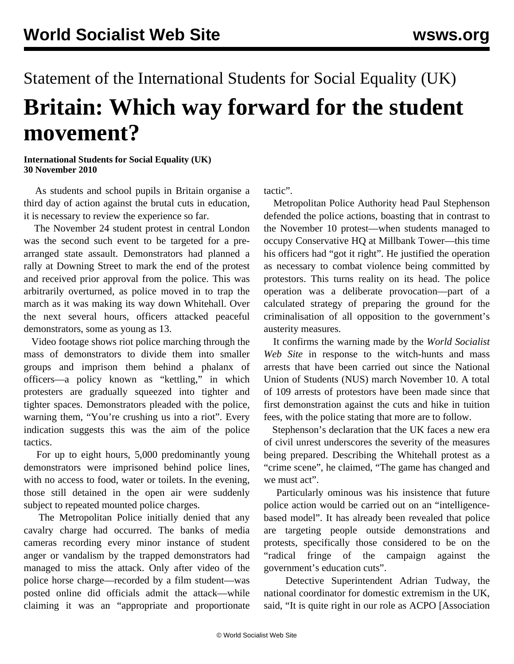## Statement of the International Students for Social Equality (UK) **Britain: Which way forward for the student movement?**

## **International Students for Social Equality (UK) 30 November 2010**

 As students and school pupils in Britain organise a third day of action against the brutal cuts in education, it is necessary to review the experience so far.

 The November 24 student protest in central London was the second such event to be targeted for a prearranged state assault. Demonstrators had planned a rally at Downing Street to mark the end of the protest and received prior approval from the police. This was arbitrarily overturned, as police moved in to trap the march as it was making its way down Whitehall. Over the next several hours, officers attacked peaceful demonstrators, some as young as 13.

 Video footage shows riot police marching through the mass of demonstrators to divide them into smaller groups and imprison them behind a phalanx of officers—a policy known as "kettling," in which protesters are gradually squeezed into tighter and tighter spaces. Demonstrators pleaded with the police, warning them, "You're crushing us into a riot". Every indication suggests this was the aim of the police tactics.

 For up to eight hours, 5,000 predominantly young demonstrators were imprisoned behind police lines, with no access to food, water or toilets. In the evening, those still detained in the open air were suddenly subject to repeated mounted police charges.

 The Metropolitan Police initially denied that any cavalry charge had occurred. The banks of media cameras recording every minor instance of student anger or vandalism by the trapped demonstrators had managed to miss the attack. Only after video of the police horse charge—recorded by a film student—was posted online did officials admit the attack—while claiming it was an "appropriate and proportionate

tactic".

 Metropolitan Police Authority head Paul Stephenson defended the police actions, boasting that in contrast to the November 10 protest—when students managed to occupy Conservative HQ at Millbank Tower—this time his officers had "got it right". He justified the operation as necessary to combat violence being committed by protestors. This turns reality on its head. The police operation was a deliberate provocation—part of a calculated strategy of preparing the ground for the criminalisation of all opposition to the government's austerity measures.

 It confirms the warning made by the *World Socialist Web Site* in response to the witch-hunts and mass arrests that have been carried out since the National Union of Students (NUS) march November 10. A total of 109 arrests of protestors have been made since that first demonstration against the cuts and hike in tuition fees, with the police stating that more are to follow.

 Stephenson's declaration that the UK faces a new era of civil unrest underscores the severity of the measures being prepared. Describing the Whitehall protest as a "crime scene", he claimed, "The game has changed and we must act".

 Particularly ominous was his insistence that future police action would be carried out on an "intelligencebased model". It has already been revealed that police are targeting people outside demonstrations and protests, specifically those considered to be on the "radical fringe of the campaign against the government's education cuts".

 Detective Superintendent Adrian Tudway, the national coordinator for domestic extremism in the UK, said, "It is quite right in our role as ACPO [Association